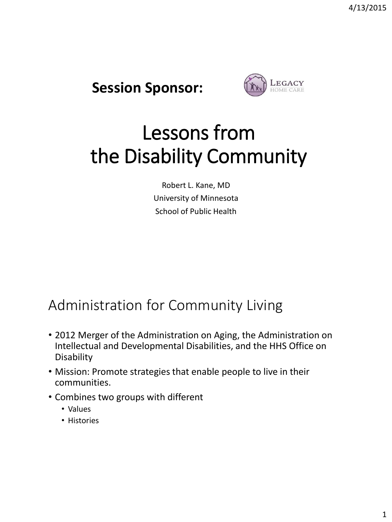



# Lessons from the Disability Community

Robert L. Kane, MD University of Minnesota School of Public Health

### Administration for Community Living

- 2012 Merger of the Administration on Aging, the Administration on Intellectual and Developmental Disabilities, and the HHS Office on Disability
- Mission: Promote strategies that enable people to live in their communities.
- Combines two groups with different
	- Values
	- Histories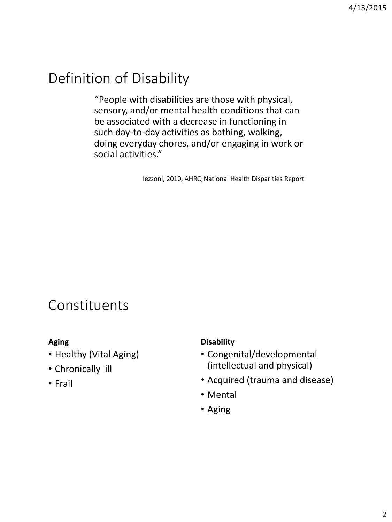# Definition of Disability

"People with disabilities are those with physical, sensory, and/or mental health conditions that can be associated with a decrease in functioning in such day-to-day activities as bathing, walking, doing everyday chores, and/or engaging in work or social activities."

Iezzoni, 2010, AHRQ National Health Disparities Report

### Constituents

#### **Aging**

- Healthy (Vital Aging)
- Chronically ill
- Frail

#### **Disability**

- Congenital/developmental (intellectual and physical)
- Acquired (trauma and disease)
- Mental
- Aging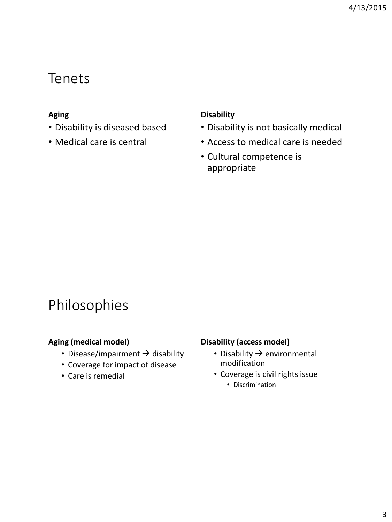### Tenets

#### **Aging**

- Disability is diseased based
- Medical care is central

#### **Disability**

- Disability is not basically medical
- Access to medical care is needed
- Cultural competence is appropriate

### Philosophies

#### **Aging (medical model)**

- Disease/impairment  $\rightarrow$  disability
- Coverage for impact of disease
- Care is remedial

#### **Disability (access model)**

- Disability  $\rightarrow$  environmental modification
- Coverage is civil rights issue
	- Discrimination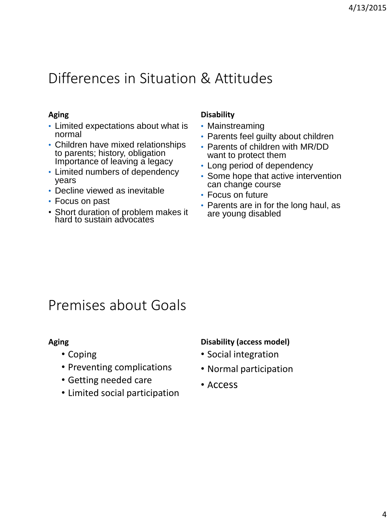### Differences in Situation & Attitudes

#### **Aging**

- Limited expectations about what is normal
- Children have mixed relationships to parents; history, obligation Importance of leaving a legacy
- Limited numbers of dependency years
- Decline viewed as inevitable
- Focus on past
- Short duration of problem makes it hard to sustain advocates

#### **Disability**

- Mainstreaming
- Parents feel guilty about children
- Parents of children with MR/DD want to protect them
- Long period of dependency
- Some hope that active intervention can change course
- Focus on future
- Parents are in for the long haul, as are young disabled

### Premises about Goals

#### **Aging**

- Coping
- Preventing complications
- Getting needed care
- Limited social participation

#### **Disability (access model)**

- Social integration
- Normal participation
- Access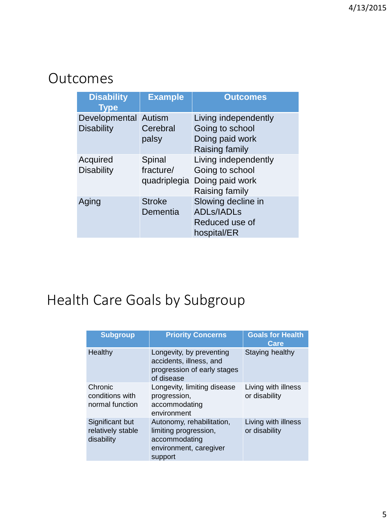### **Outcomes**

| <b>Disability</b><br>Type                 | <b>Example</b>            | <b>Outcomes</b>                                                                           |
|-------------------------------------------|---------------------------|-------------------------------------------------------------------------------------------|
| Developmental Autism<br><b>Disability</b> | Cerebral<br>palsy         | Living independently<br>Going to school<br>Doing paid work<br>Raising family              |
| Acquired<br><b>Disability</b>             | Spinal<br>fracture/       | Living independently<br>Going to school<br>quadriplegia Doing paid work<br>Raising family |
| Aging                                     | <b>Stroke</b><br>Dementia | Slowing decline in<br><b>ADLs/IADLs</b><br>Reduced use of<br>hospital/ER                  |

# Health Care Goals by Subgroup

| <b>Subgroup</b>                                    | <b>Priority Concerns</b>                                                                                 | <b>Goals for Health</b><br>Care      |
|----------------------------------------------------|----------------------------------------------------------------------------------------------------------|--------------------------------------|
| Healthy                                            | Longevity, by preventing<br>accidents, illness, and<br>progression of early stages<br>of disease         | Staying healthy                      |
| Chronic<br>conditions with<br>normal function      | Longevity, limiting disease<br>progression,<br>accommodating<br>environment                              | Living with illness<br>or disability |
| Significant but<br>relatively stable<br>disability | Autonomy, rehabilitation,<br>limiting progression,<br>accommodating<br>environment, caregiver<br>support | Living with illness<br>or disability |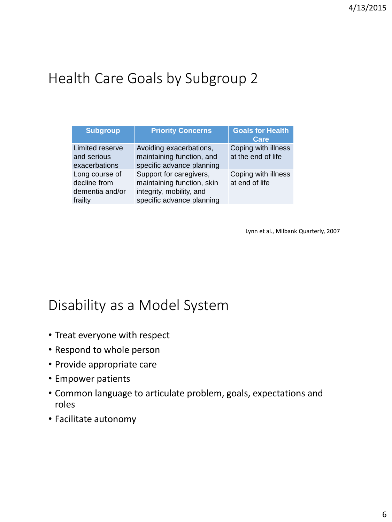# Health Care Goals by Subgroup 2

| <b>Subgroup</b>                                              | <b>Priority Concerns</b>                                                                                       | <b>Goals for Health</b><br>Care           |
|--------------------------------------------------------------|----------------------------------------------------------------------------------------------------------------|-------------------------------------------|
| Limited reserve<br>and serious<br>exacerbations              | Avoiding exacerbations,<br>maintaining function, and<br>specific advance planning                              | Coping with illness<br>at the end of life |
| Long course of<br>decline from<br>dementia and/or<br>frailty | Support for caregivers,<br>maintaining function, skin<br>integrity, mobility, and<br>specific advance planning | Coping with illness<br>at end of life     |

Lynn et al., Milbank Quarterly, 2007

### Disability as a Model System

- Treat everyone with respect
- Respond to whole person
- Provide appropriate care
- Empower patients
- Common language to articulate problem, goals, expectations and roles
- Facilitate autonomy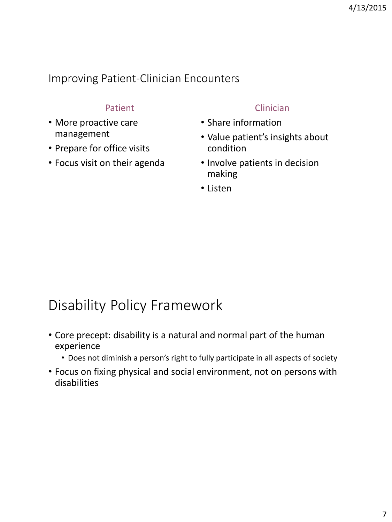### Improving Patient-Clinician Encounters

### Patient

- More proactive care management
- Prepare for office visits
- Focus visit on their agenda

### Clinician

- Share information
- Value patient's insights about condition
- Involve patients in decision making
- Listen

### Disability Policy Framework

- Core precept: disability is a natural and normal part of the human experience
	- Does not diminish a person's right to fully participate in all aspects of society
- Focus on fixing physical and social environment, not on persons with disabilities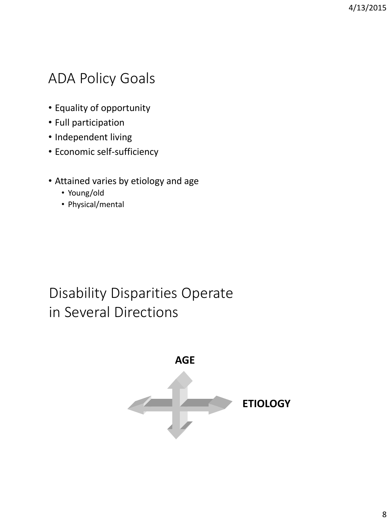### ADA Policy Goals

- Equality of opportunity
- Full participation
- Independent living
- Economic self-sufficiency
- Attained varies by etiology and age
	- Young/old
	- Physical/mental

### Disability Disparities Operate in Several Directions